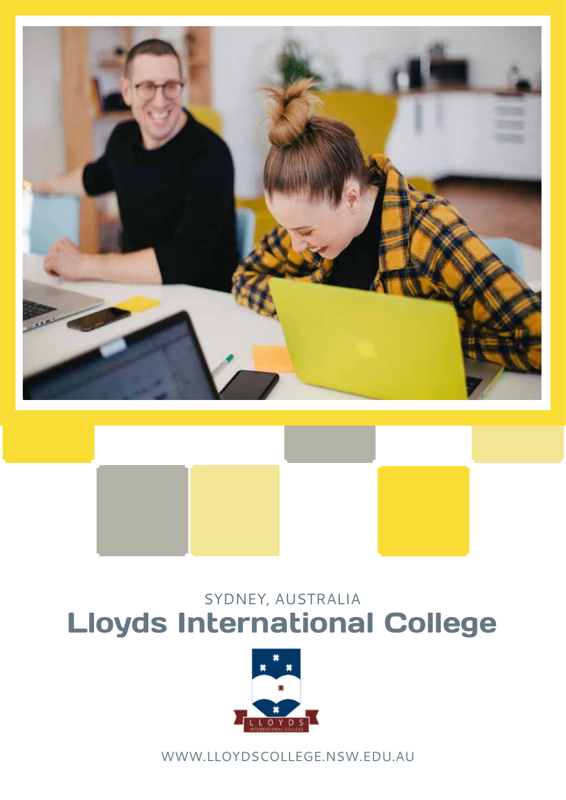



## sydney, australia Lloyds International College



www.lloydscollege.nsw.edu.au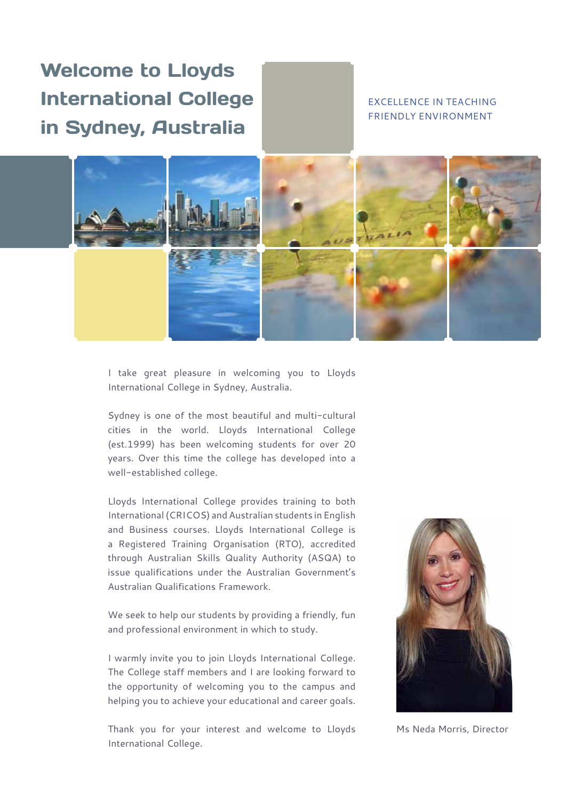### Welcome to Lloyds International College in Sydney, Australia

#### excellence in teaching friendly environment



I take great pleasure in welcoming you to Lloyds International College in Sydney, Australia.

Sydney is one of the most beautiful and multi-cultural cities in the world. Lloyds International College (est.1999) has been welcoming students for over 20 years. Over this time the college has developed into a well-established college.

Lloyds International College provides training to both International (CRICOS) and Australian students in English and Business courses. Lloyds International College is a Registered Training Organisation (RTO), accredited through Australian Skills Quality Authority (ASQA) to issue qualifications under the Australian Government's Australian Qualifications Framework.

We seek to help our students by providing a friendly, fun and professional environment in which to study.

I warmly invite you to join Lloyds International College. The College staff members and I are looking forward to the opportunity of welcoming you to the campus and helping you to achieve your educational and career goals.

Thank you for your interest and welcome to Lloyds International College.



Ms Neda Morris, Director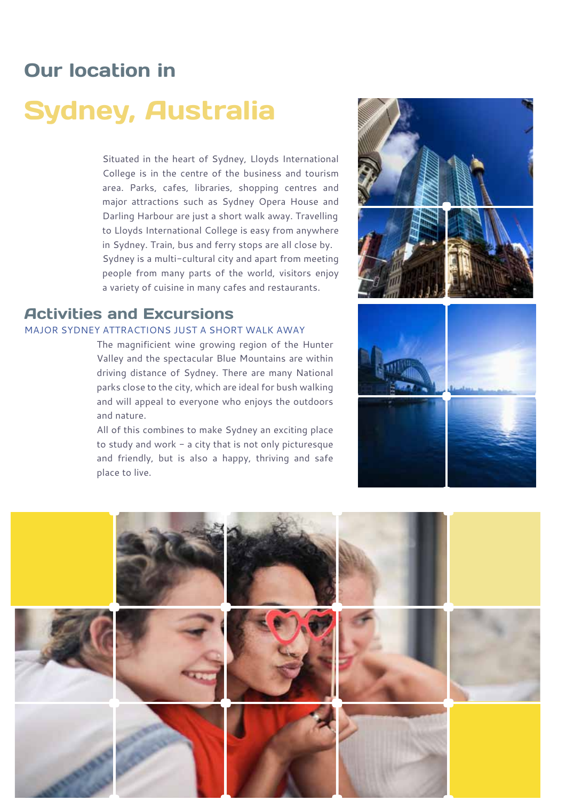### Our location in

## Sydney, Australia

Situated in the heart of Sydney, Lloyds International College is in the centre of the business and tourism area. Parks, cafes, libraries, shopping centres and major attractions such as Sydney Opera House and Darling Harbour are just a short walk away. Travelling to Lloyds International College is easy from anywhere in Sydney. Train, bus and ferry stops are all close by. Sydney is a multi-cultural city and apart from meeting people from many parts of the world, visitors enjoy a variety of cuisine in many cafes and restaurants.

#### Activities and Excursions

#### MAJOR SYDNEY ATTRACTIONS JUST A SHORT WALK AWAY

The magnificient wine growing region of the Hunter Valley and the spectacular Blue Mountains are within driving distance of Sydney. There are many National parks close to the city, which are ideal for bush walking and will appeal to everyone who enjoys the outdoors and nature.

All of this combines to make Sydney an exciting place to study and work - a city that is not only picturesque and friendly, but is also a happy, thriving and safe place to live.



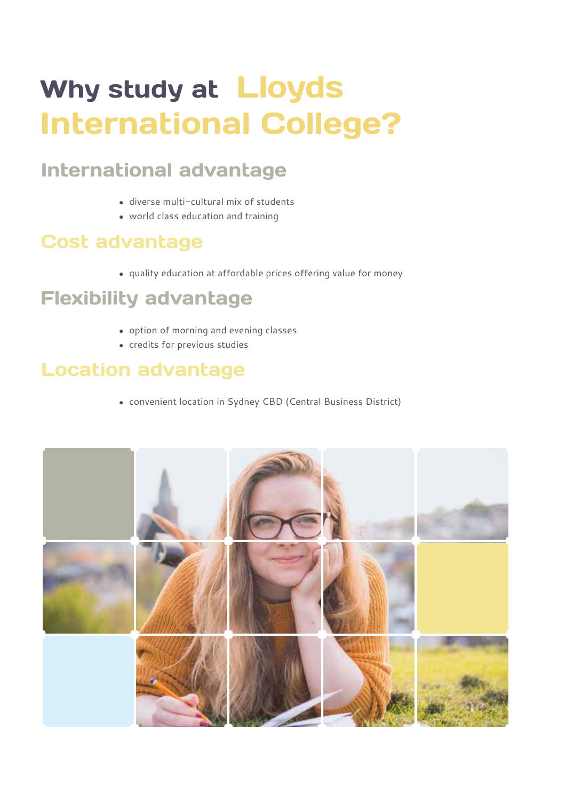# Why study at Lloyds International College?

### International advantage

- diverse multi-cultural mix of students
- world class education and training

### Cost advantage

• quality education at affordable prices offering value for money

### Flexibility advantage

- option of morning and evening classes
- credits for previous studies

### Location advantage

• convenient location in Sydney CBD (Central Business District)

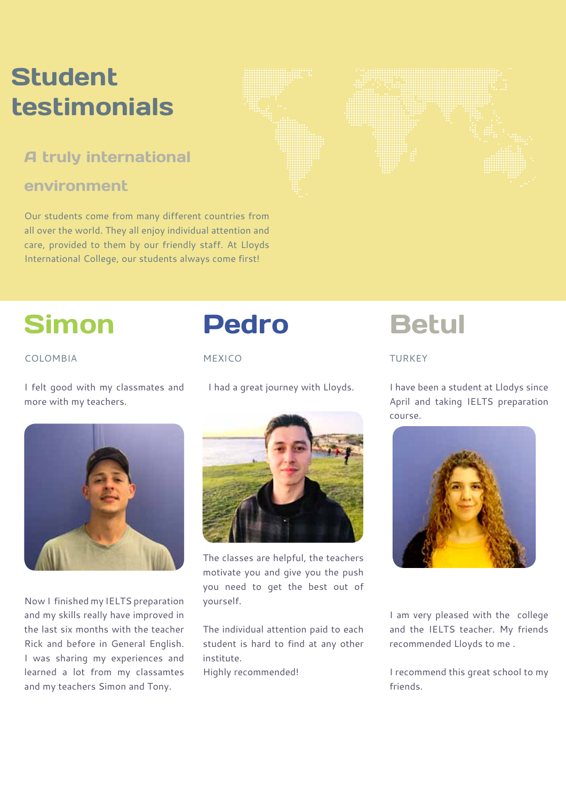## **Student** testimonials

### A truly international

#### environment

Our students come from many different countries from all over the world. They all enjoy individual attention and care, provided to them by our friendly staff. At Lloyds International College, our students always come first!

## Simon

#### COLOMBIA

I felt good with my classmates and more with my teachers.



Now I finished my IELTS preparation and my skills really have improved in the last six months with the teacher Rick and before in General English. I was sharing my experiences and learned a lot from my classamtes and my teachers Simon and Tony.

## Pedro

Mexico

I had a great journey with Lloyds.



The classes are helpful, the teachers motivate you and give you the push you need to get the best out of yourself.

The individual attention paid to each student is hard to find at any other institute.

Highly recommended!

## **Betul**

#### TURKEY

I have been a student at Llodys since April and taking IELTS preparation course.



I am very pleased with the college and the IELTS teacher. My friends recommended Lloyds to me .

I recommend this great school to my friends.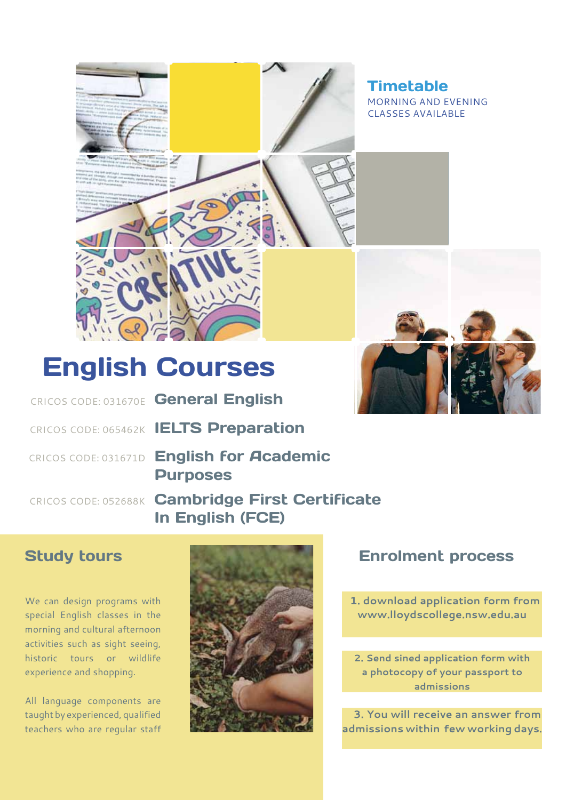

Timetable morning and evening classes available



## English Courses

CRICOS CODE: 031670E General English

CRICOS CODE: 065462K IELTS Preparation

CRICOS CODE: 031671D English for Academic Purposes

CRICOS CODE: 052688K Cambridge First Certificate In English (FCE)

#### Study tours

We can design programs with special English classes in the morning and cultural afternoon activities such as sight seeing, historic tours or wildlife experience and shopping.

All language components are taught by experienced, qualified teachers who are regular staff



#### Enrolment process

 **1. download application form from www.lloydscollege.nsw.edu.au**

**2. Send sined application form with a photocopy of your passport to admissions**

 **3. You will receive an answer from admissions within few working days.**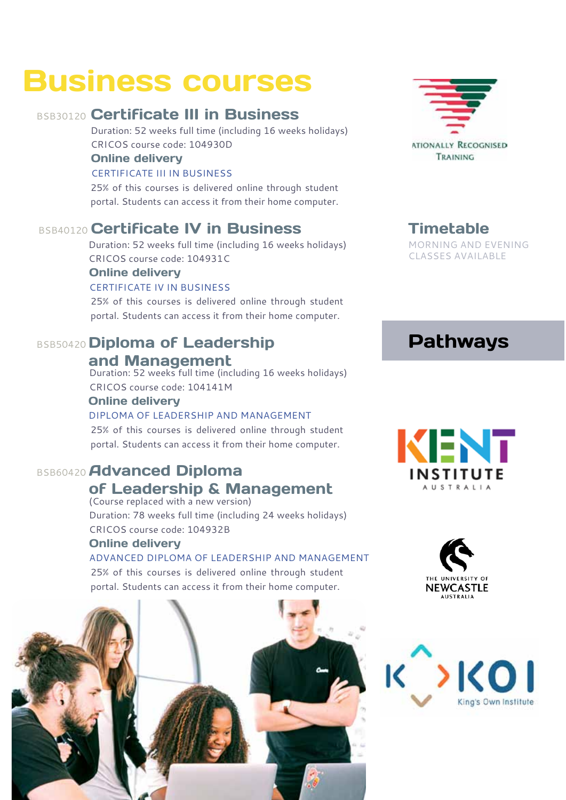## Business courses

#### BSB30120 Certificate III in Business

Duration: 52 weeks full time (including 16 weeks holidays) CRICOS course code: 104930D

#### Online delivery

#### CERTIFICATE iii in business

25% of this courses is delivered online through student portal. Students can access it from their home computer.

#### BSB40120 Certificate IV in Business

Duration: 52 weeks full time (including 16 weeks holidays) CRICOS course code: 104931C

#### Online delivery

#### CERTIFICATE iv in business

25% of this courses is delivered online through student portal. Students can access it from their home computer.

## BSB50420 Diploma of Leadership

#### and Management

Duration: 52 weeks full time (including 16 weeks holidays) CRICOS course code: 104141M

#### Online delivery

#### diploma of leadership and management

25% of this courses is delivered online through student portal. Students can access it from their home computer.

### BSB60420 Advanced Diploma

#### of Leadership & Management (Course replaced with a new version)

Duration: 78 weeks full time (including 24 weeks holidays) CRICOS course code: 104932B

#### Online delivery

advanced diploma of leadership and management

25% of this courses is delivered online through student portal. Students can access it from their home computer.





#### **Timetable** morning and evening

classes available

### Pathways





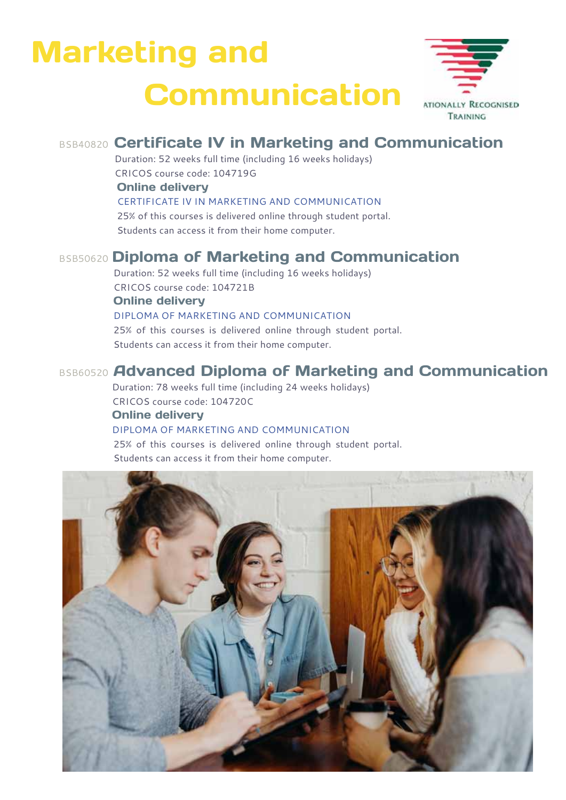# Marketing and **Communication**



### BSB40820 Certificate IV in Marketing and Communication

Duration: 52 weeks full time (including 16 weeks holidays) CRICOS course code: 104719G Online delivery

CERTIFICATE iv in marketing and communication

25% of this courses is delivered online through student portal. Students can access it from their home computer.

#### BSB50620 Diploma of Marketing and Communication

Duration: 52 weeks full time (including 16 weeks holidays) CRICOS course code: 104721B Online delivery Diploma of marketing and communication 25% of this courses is delivered online through student portal. Students can access it from their home computer.

#### BSB60520 Advanced Diploma of Marketing and Communication

Duration: 78 weeks full time (including 24 weeks holidays) CRICOS course code: 104720C Online delivery

#### Diploma of marketing and communication

25% of this courses is delivered online through student portal. Students can access it from their home computer.